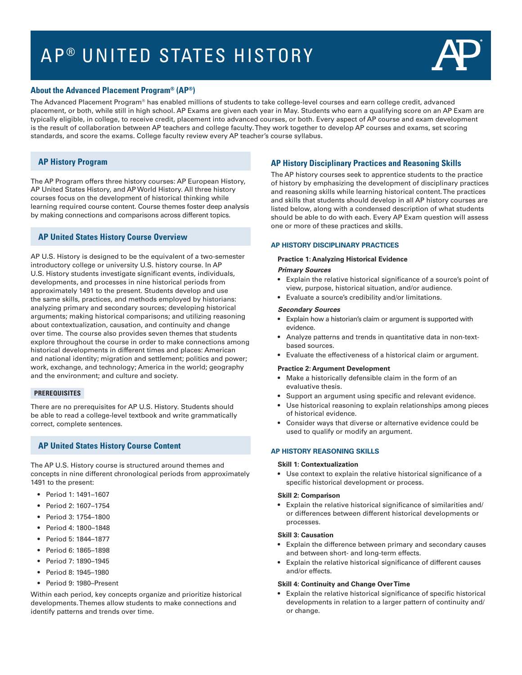# AP<sup>®</sup> UNITED STATES HISTORY



# **About the Advanced Placement Program® (AP®)**

The Advanced Placement Program® has enabled millions of students to take college-level courses and earn college credit, advanced placement, or both, while still in high school. AP Exams are given each year in May. Students who earn a qualifying score on an AP Exam are typically eligible, in college, to receive credit, placement into advanced courses, or both. Every aspect of AP course and exam development is the result of collaboration between AP teachers and college faculty. They work together to develop AP courses and exams, set scoring standards, and score the exams. College faculty review every AP teacher's course syllabus.

# **AP History Program**

 learning required course content. Course themes foster deep analysis The AP Program offers three history courses: AP European History, AP United States History, and AP World History. All three history courses focus on the development of historical thinking while by making connections and comparisons across different topics.

# **AP United States History Course Overview**

AP U.S. History is designed to be the equivalent of a two-semester introductory college or university U.S. history course. In AP U.S. History students investigate significant events, individuals, developments, and processes in nine historical periods from approximately 1491 to the present. Students develop and use the same skills, practices, and methods employed by historians: analyzing primary and secondary sources; developing historical arguments; making historical comparisons; and utilizing reasoning about contextualization, causation, and continuity and change over time. The course also provides seven themes that students explore throughout the course in order to make connections among historical developments in different times and places: American and national identity; migration and settlement; politics and power; work, exchange, and technology; America in the world; geography and the environment; and culture and society.

# **PREREQUISITES**

There are no prerequisites for AP U.S. History. Students should be able to read a college-level textbook and write grammatically correct, complete sentences.

# **AP United States History Course Content**

The AP U.S. History course is structured around themes and concepts in nine different chronological periods from approximately 1491 to the present:

- • Period 1: 1491–1607
- • Period 2: 1607–1754
- • Period 3: 1754–1800
- • Period 4: 1800–1848
- • Period 5: 1844–1877
- • Period 6: 1865–1898
- • Period 7: 1890–1945
- • Period 8: 1945–1980
- Period 9: 1980–Present

Within each period, key concepts organize and prioritize historical developments. Themes allow students to make connections and identify patterns and trends over time.

# **AP History Disciplinary Practices and Reasoning Skills**

The AP history courses seek to apprentice students to the practice of history by emphasizing the development of disciplinary practices and reasoning skills while learning historical content. The practices and skills that students should develop in all AP history courses are listed below, along with a condensed description of what students should be able to do with each. Every AP Exam question will assess one or more of these practices and skills.

#### **AP HISTORY DISCIPLINARY PRACTICES**

#### **Practice 1: Analyzing Historical Evidence**

#### *Primary Sources*

- Explain the relative historical significance of a source's point of view, purpose, historical situation, and/or audience.
- Evaluate a source's credibility and/or limitations.

#### *Secondary Sources*

- • Explain how a historian's claim or argument is supported with evidence.
- Analyze patterns and trends in quantitative data in non-textbased sources.
- • Evaluate the effectiveness of a historical claim or argument.

#### **Practice 2: Argument Development**

- Make a historically defensible claim in the form of an evaluative thesis.
- Support an argument using specific and relevant evidence.
- Use historical reasoning to explain relationships among pieces of historical evidence.
- Consider ways that diverse or alternative evidence could be used to qualify or modify an argument.

## **AP HISTORY REASONING SKILLS**

#### **Skill 1: Contextualization**

• Use context to explain the relative historical significance of a specific historical development or process.

#### **Skill 2: Comparison**

• Explain the relative historical significance of similarities and/ or differences between different historical developments or processes.

#### **Skill 3: Causation**

- Explain the difference between primary and secondary causes and between short- and long-term effects.
- Explain the relative historical significance of different causes and/or effects.

#### **Skill 4: Continuity and Change Over Time**

• Explain the relative historical significance of specific historical developments in relation to a larger pattern of continuity and/ or change.